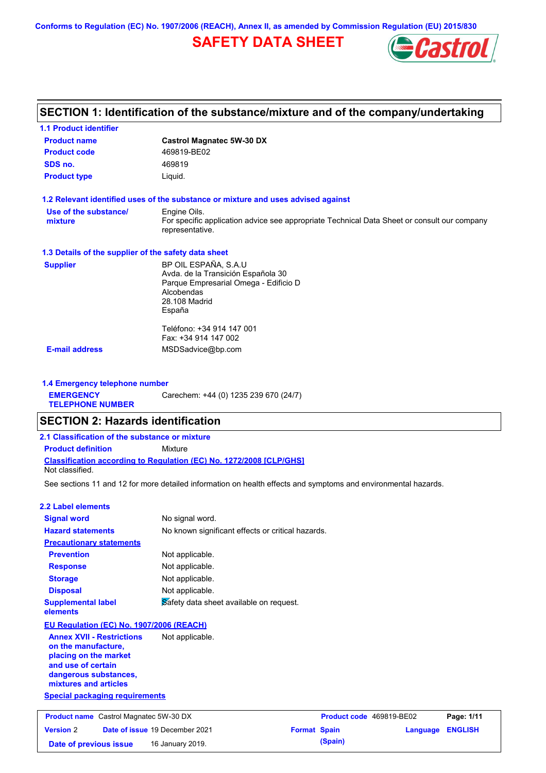**Conforms to Regulation (EC) No. 1907/2006 (REACH), Annex II, as amended by Commission Regulation (EU) 2015/830**

# **SAFETY DATA SHEET**



# **SECTION 1: Identification of the substance/mixture and of the company/undertaking**

| <b>1.1 Product identifier</b>                        |                                                                                                                                              |
|------------------------------------------------------|----------------------------------------------------------------------------------------------------------------------------------------------|
| <b>Product name</b>                                  | <b>Castrol Magnatec 5W-30 DX</b>                                                                                                             |
| <b>Product code</b>                                  | 469819-BE02                                                                                                                                  |
| SDS no.                                              | 469819                                                                                                                                       |
| <b>Product type</b>                                  | Liquid.                                                                                                                                      |
|                                                      | 1.2 Relevant identified uses of the substance or mixture and uses advised against                                                            |
| Use of the substance/<br>mixture                     | Engine Oils.<br>For specific application advice see appropriate Technical Data Sheet or consult our company<br>representative.               |
| 1.3 Details of the supplier of the safety data sheet |                                                                                                                                              |
| <b>Supplier</b>                                      | BP OIL ESPAÑA, S.A.U<br>Avda. de la Transición Española 30<br>Parque Empresarial Omega - Edificio D<br>Alcobendas<br>28.108 Madrid<br>España |
| <b>E-mail address</b>                                | Teléfono: +34 914 147 001<br>Fax: +34 914 147 002<br>MSDSadvice@bp.com                                                                       |

**1.4 Emergency telephone number EMERGENCY TELEPHONE NUMBER** Carechem: +44 (0) 1235 239 670 (24/7)

## **SECTION 2: Hazards identification**

| 2.1 Classification of the substance or mixture |                                                                            |  |
|------------------------------------------------|----------------------------------------------------------------------------|--|
| <b>Product definition</b>                      | Mixture                                                                    |  |
| Not classified.                                | <b>Classification according to Regulation (EC) No. 1272/2008 [CLP/GHS]</b> |  |

See sections 11 and 12 for more detailed information on health effects and symptoms and environmental hazards.

### **2.2 Label elements**

| <b>Signal word</b>                                      | No signal word.                                   |
|---------------------------------------------------------|---------------------------------------------------|
| <b>Hazard statements</b>                                | No known significant effects or critical hazards. |
| <b>Precautionary statements</b>                         |                                                   |
| <b>Prevention</b>                                       | Not applicable.                                   |
| <b>Response</b>                                         | Not applicable.                                   |
| <b>Storage</b>                                          | Not applicable.                                   |
| <b>Disposal</b>                                         | Not applicable.                                   |
| <b>Supplemental label</b><br>elements                   | Safety data sheet available on request.           |
| EU Regulation (EC) No. 1907/2006 (REACH)                |                                                   |
| <b>Annex XVII - Restrictions</b><br>on the manufacture, | Not applicable.                                   |

**placing on the market and use of certain dangerous substances, mixtures and articles**

**Special packaging requirements**

| <b>Product name</b> Castrol Magnatec 5W-30 DX |  |                                       | <b>Product code</b> 469819-BE02 |         | Page: 1/11              |  |
|-----------------------------------------------|--|---------------------------------------|---------------------------------|---------|-------------------------|--|
| <b>Version 2</b>                              |  | <b>Date of issue 19 December 2021</b> | <b>Format Spain</b>             |         | <b>Language ENGLISH</b> |  |
| Date of previous issue                        |  | 16 January 2019.                      |                                 | (Spain) |                         |  |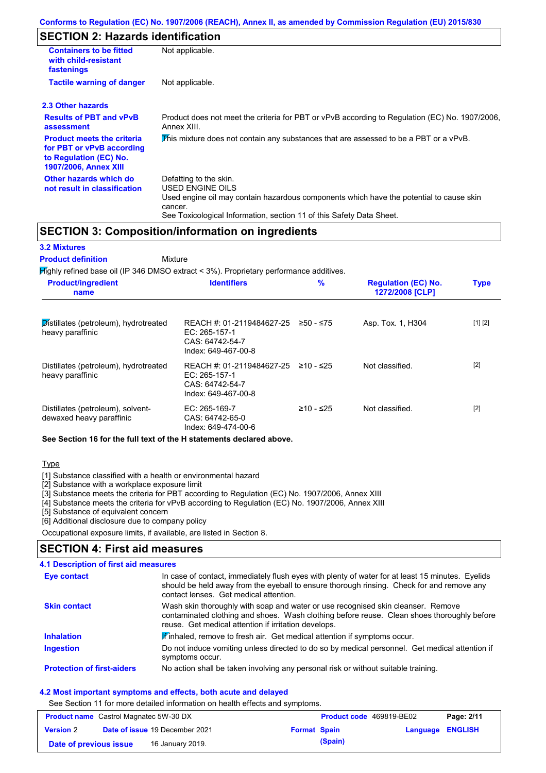## **SECTION 2: Hazards identification**

| <b>Containers to be fitted</b><br>with child-resistant<br>fastenings                                                     | Not applicable.                                                                                                                                                                                                          |
|--------------------------------------------------------------------------------------------------------------------------|--------------------------------------------------------------------------------------------------------------------------------------------------------------------------------------------------------------------------|
| <b>Tactile warning of danger</b>                                                                                         | Not applicable.                                                                                                                                                                                                          |
| 2.3 Other hazards                                                                                                        |                                                                                                                                                                                                                          |
| <b>Results of PBT and vPvB</b><br>assessment                                                                             | Product does not meet the criteria for PBT or vPvB according to Regulation (EC) No. 1907/2006,<br>Annex XIII.                                                                                                            |
| <b>Product meets the criteria</b><br>for PBT or vPvB according<br>to Regulation (EC) No.<br><b>1907/2006, Annex XIII</b> | This mixture does not contain any substances that are assessed to be a PBT or a vPvB.                                                                                                                                    |
| Other hazards which do<br>not result in classification                                                                   | Defatting to the skin.<br>USED ENGINE OILS<br>Used engine oil may contain hazardous components which have the potential to cause skin<br>cancer.<br>See Toxicological Information, section 11 of this Safety Data Sheet. |

### **SECTION 3: Composition/information on ingredients**

**Mixture** 

### **3.2 Mixtures**

**Product definition**

Highly refined base oil (IP 346 DMSO extract < 3%). Proprietary performance additives.

| <b>Product/ingredient</b><br>name                             | <b>Identifiers</b>                                                                   | $\%$        | <b>Regulation (EC) No.</b><br>1272/2008 [CLP] | <b>Type</b> |
|---------------------------------------------------------------|--------------------------------------------------------------------------------------|-------------|-----------------------------------------------|-------------|
| Distillates (petroleum), hydrotreated<br>heavy paraffinic     | REACH #: 01-2119484627-25<br>EC: 265-157-1<br>CAS: 64742-54-7<br>Index: 649-467-00-8 | $≥50 - ≤75$ | Asp. Tox. 1, H304                             | [1] [2]     |
| Distillates (petroleum), hydrotreated<br>heavy paraffinic     | REACH #: 01-2119484627-25<br>EC: 265-157-1<br>CAS: 64742-54-7<br>Index: 649-467-00-8 | $≥10 - ≤25$ | Not classified.                               | $[2]$       |
| Distillates (petroleum), solvent-<br>dewaxed heavy paraffinic | $EC: 265-169-7$<br>CAS: 64742-65-0<br>Index: 649-474-00-6                            | $≥10 - ≤25$ | Not classified.                               | $[2]$       |

**See Section 16 for the full text of the H statements declared above.**

#### **Type**

[1] Substance classified with a health or environmental hazard

[2] Substance with a workplace exposure limit

[3] Substance meets the criteria for PBT according to Regulation (EC) No. 1907/2006, Annex XIII

[4] Substance meets the criteria for vPvB according to Regulation (EC) No. 1907/2006, Annex XIII

[5] Substance of equivalent concern

[6] Additional disclosure due to company policy

Occupational exposure limits, if available, are listed in Section 8.

### **SECTION 4: First aid measures**

### **4.1 Description of first aid measures**

| Eye contact                       | In case of contact, immediately flush eyes with plenty of water for at least 15 minutes. Eyelids<br>should be held away from the eyeball to ensure thorough rinsing. Check for and remove any<br>contact lenses. Get medical attention. |
|-----------------------------------|-----------------------------------------------------------------------------------------------------------------------------------------------------------------------------------------------------------------------------------------|
| <b>Skin contact</b>               | Wash skin thoroughly with soap and water or use recognised skin cleanser. Remove<br>contaminated clothing and shoes. Wash clothing before reuse. Clean shoes thoroughly before<br>reuse. Get medical attention if irritation develops.  |
| <b>Inhalation</b>                 | Winhaled, remove to fresh air. Get medical attention if symptoms occur.                                                                                                                                                                 |
| <b>Ingestion</b>                  | Do not induce vomiting unless directed to do so by medical personnel. Get medical attention if<br>symptoms occur.                                                                                                                       |
| <b>Protection of first-aiders</b> | No action shall be taken involving any personal risk or without suitable training.                                                                                                                                                      |

#### **4.2 Most important symptoms and effects, both acute and delayed**

See Section 11 for more detailed information on health effects and symptoms.

| <b>Product name</b> Castrol Magnatec 5W-30 DX |  |                                       | <b>Product code</b> 469819-BE02 | Page: 2/11 |                  |  |
|-----------------------------------------------|--|---------------------------------------|---------------------------------|------------|------------------|--|
| <b>Version 2</b>                              |  | <b>Date of issue 19 December 2021</b> | <b>Format Spain</b>             |            | Language ENGLISH |  |
| Date of previous issue                        |  | 16 January 2019.                      |                                 | (Spain)    |                  |  |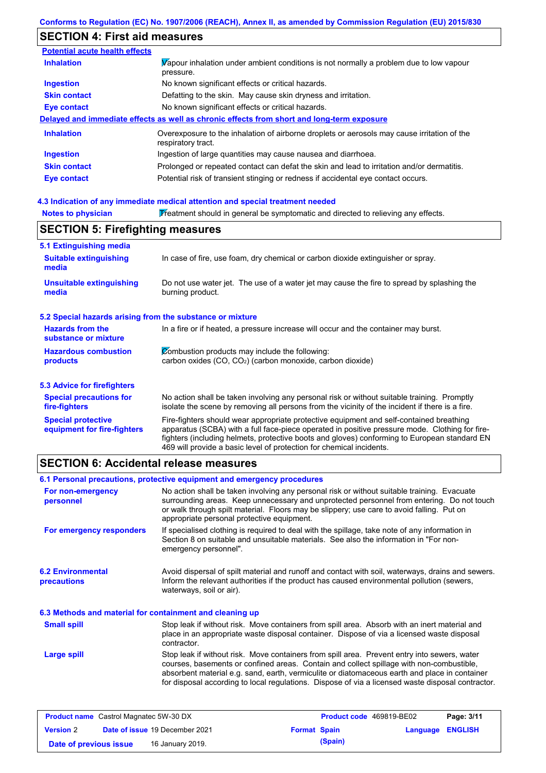## **SECTION 4: First aid measures**

| Vapour inhalation under ambient conditions is not normally a problem due to low vapour<br>pressure.               |
|-------------------------------------------------------------------------------------------------------------------|
| No known significant effects or critical hazards.                                                                 |
| Defatting to the skin. May cause skin dryness and irritation.                                                     |
| No known significant effects or critical hazards.                                                                 |
| Delayed and immediate effects as well as chronic effects from short and long-term exposure                        |
| Overexposure to the inhalation of airborne droplets or aerosols may cause irritation of the<br>respiratory tract. |
| Ingestion of large quantities may cause nausea and diarrhoea.                                                     |
| Prolonged or repeated contact can defat the skin and lead to irritation and/or dermatitis.                        |
| Potential risk of transient stinging or redness if accidental eye contact occurs.                                 |
|                                                                                                                   |

#### **4.3 Indication of any immediate medical attention and special treatment needed**

| <b>Notes to physician</b>                                 | Treatment should in general be symptomatic and directed to relieving any effects.                                                                                                                                                                                                                                                                                 |  |  |  |  |
|-----------------------------------------------------------|-------------------------------------------------------------------------------------------------------------------------------------------------------------------------------------------------------------------------------------------------------------------------------------------------------------------------------------------------------------------|--|--|--|--|
|                                                           | <b>SECTION 5: Firefighting measures</b>                                                                                                                                                                                                                                                                                                                           |  |  |  |  |
| 5.1 Extinguishing media                                   |                                                                                                                                                                                                                                                                                                                                                                   |  |  |  |  |
| <b>Suitable extinguishing</b><br>media                    | In case of fire, use foam, dry chemical or carbon dioxide extinguisher or spray.                                                                                                                                                                                                                                                                                  |  |  |  |  |
| <b>Unsuitable extinguishing</b><br>media                  | Do not use water jet. The use of a water jet may cause the fire to spread by splashing the<br>burning product.                                                                                                                                                                                                                                                    |  |  |  |  |
| 5.2 Special hazards arising from the substance or mixture |                                                                                                                                                                                                                                                                                                                                                                   |  |  |  |  |
| <b>Hazards from the</b><br>substance or mixture           | In a fire or if heated, a pressure increase will occur and the container may burst.                                                                                                                                                                                                                                                                               |  |  |  |  |
| <b>Hazardous combustion</b>                               | Combustion products may include the following:                                                                                                                                                                                                                                                                                                                    |  |  |  |  |
| products                                                  | carbon oxides (CO, CO <sub>2</sub> ) (carbon monoxide, carbon dioxide)                                                                                                                                                                                                                                                                                            |  |  |  |  |
| 5.3 Advice for firefighters                               |                                                                                                                                                                                                                                                                                                                                                                   |  |  |  |  |
| <b>Special precautions for</b><br>fire-fighters           | No action shall be taken involving any personal risk or without suitable training. Promptly<br>isolate the scene by removing all persons from the vicinity of the incident if there is a fire.                                                                                                                                                                    |  |  |  |  |
| <b>Special protective</b><br>equipment for fire-fighters  | Fire-fighters should wear appropriate protective equipment and self-contained breathing<br>apparatus (SCBA) with a full face-piece operated in positive pressure mode. Clothing for fire-<br>fighters (including helmets, protective boots and gloves) conforming to European standard EN<br>469 will provide a basic level of protection for chemical incidents. |  |  |  |  |

## **SECTION 6: Accidental release measures**

**6.2 Environmental precautions** Stop leak if without risk. Move containers from spill area. Prevent entry into sewers, water courses, basements or confined areas. Contain and collect spillage with non-combustible, absorbent material e.g. sand, earth, vermiculite or diatomaceous earth and place in container for disposal according to local regulations. Dispose of via a licensed waste disposal contractor. Avoid dispersal of spilt material and runoff and contact with soil, waterways, drains and sewers. Inform the relevant authorities if the product has caused environmental pollution (sewers, waterways, soil or air). **Large spill** Stop leak if without risk. Move containers from spill area. Absorb with an inert material and place in an appropriate waste disposal container. Dispose of via a licensed waste disposal contractor. **Small spill 6.3 Methods and material for containment and cleaning up 6.1 Personal precautions, protective equipment and emergency procedures For non-emergency personnel For emergency responders** No action shall be taken involving any personal risk or without suitable training. Evacuate surrounding areas. Keep unnecessary and unprotected personnel from entering. Do not touch or walk through spilt material. Floors may be slippery; use care to avoid falling. Put on appropriate personal protective equipment. If specialised clothing is required to deal with the spillage, take note of any information in Section 8 on suitable and unsuitable materials. See also the information in "For nonemergency personnel".

| <b>Product name</b> Castrol Magnatec 5W-30 DX |  |                                       | <b>Product code</b> 469819-BE02 |         | Page: 3/11              |  |
|-----------------------------------------------|--|---------------------------------------|---------------------------------|---------|-------------------------|--|
| <b>Version 2</b>                              |  | <b>Date of issue 19 December 2021</b> | <b>Format Spain</b>             |         | <b>Language ENGLISH</b> |  |
| Date of previous issue                        |  | 16 January 2019.                      |                                 | (Spain) |                         |  |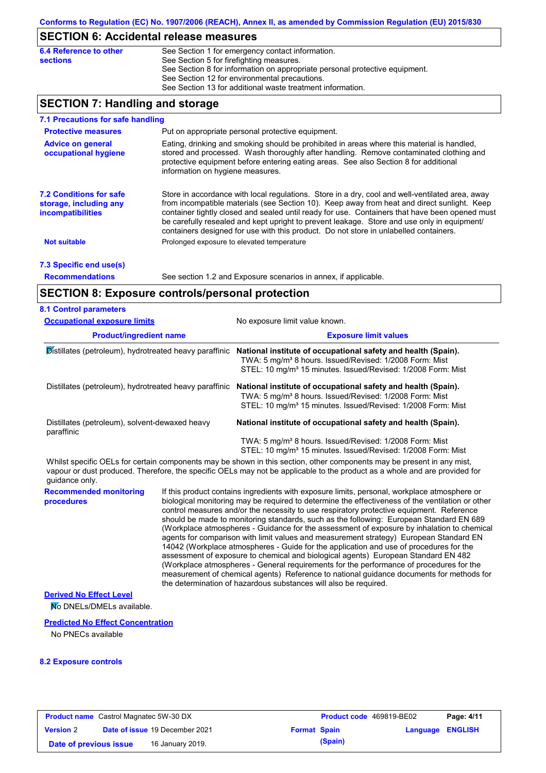## **SECTION 6: Accidental release measures**

| See Section 8 for information on appropriate personal protective equipment. |
|-----------------------------------------------------------------------------|

## **SECTION 7: Handling and storage**

| 7.1 Precautions for safe handling                                                    |                                                                                                                                                                                                                                                                                                                                                                                                                                                                                          |
|--------------------------------------------------------------------------------------|------------------------------------------------------------------------------------------------------------------------------------------------------------------------------------------------------------------------------------------------------------------------------------------------------------------------------------------------------------------------------------------------------------------------------------------------------------------------------------------|
| <b>Protective measures</b>                                                           | Put on appropriate personal protective equipment.                                                                                                                                                                                                                                                                                                                                                                                                                                        |
| <b>Advice on general</b><br>occupational hygiene                                     | Eating, drinking and smoking should be prohibited in areas where this material is handled,<br>stored and processed. Wash thoroughly after handling. Remove contaminated clothing and<br>protective equipment before entering eating areas. See also Section 8 for additional<br>information on hygiene measures.                                                                                                                                                                         |
| <b>7.2 Conditions for safe</b><br>storage, including any<br><i>incompatibilities</i> | Store in accordance with local requiations. Store in a dry, cool and well-ventilated area, away<br>from incompatible materials (see Section 10). Keep away from heat and direct sunlight. Keep<br>container tightly closed and sealed until ready for use. Containers that have been opened must<br>be carefully resealed and kept upright to prevent leakage. Store and use only in equipment/<br>containers designed for use with this product. Do not store in unlabelled containers. |
| <b>Not suitable</b>                                                                  | Prolonged exposure to elevated temperature                                                                                                                                                                                                                                                                                                                                                                                                                                               |
| 7.3 Specific end use(s)                                                              |                                                                                                                                                                                                                                                                                                                                                                                                                                                                                          |
| <b>Recommendations</b>                                                               | See section 1.2 and Exposure scenarios in annex, if applicable.                                                                                                                                                                                                                                                                                                                                                                                                                          |

## **SECTION 8: Exposure controls/personal protection**

| <b>Occupational exposure limits</b>                          | No exposure limit value known.<br><b>Exposure limit values</b>                                                                                                                                                                                       |  |  |
|--------------------------------------------------------------|------------------------------------------------------------------------------------------------------------------------------------------------------------------------------------------------------------------------------------------------------|--|--|
| <b>Product/ingredient name</b>                               |                                                                                                                                                                                                                                                      |  |  |
| Distillates (petroleum), hydrotreated heavy paraffinic       | National institute of occupational safety and health (Spain).<br>TWA: 5 mg/m <sup>3</sup> 8 hours. Issued/Revised: 1/2008 Form: Mist<br>STEL: 10 mg/m <sup>3</sup> 15 minutes. Issued/Revised: 1/2008 Form: Mist                                     |  |  |
| Distillates (petroleum), hydrotreated heavy paraffinic       | National institute of occupational safety and health (Spain).<br>TWA: 5 mg/m <sup>3</sup> 8 hours. Issued/Revised: 1/2008 Form: Mist<br>STEL: 10 mg/m <sup>3</sup> 15 minutes. Issued/Revised: 1/2008 Form: Mist                                     |  |  |
| Distillates (petroleum), solvent-dewaxed heavy<br>paraffinic | National institute of occupational safety and health (Spain).                                                                                                                                                                                        |  |  |
|                                                              | TWA: 5 mg/m <sup>3</sup> 8 hours. Issued/Revised: 1/2008 Form: Mist<br>STEL: 10 mg/m <sup>3</sup> 15 minutes. Issued/Revised: 1/2008 Form: Mist                                                                                                      |  |  |
| uluo Anchiun                                                 | Whilst specific OELs for certain components may be shown in this section, other components may be present in any mist,<br>vapour or dust produced. Therefore, the specific OELs may not be applicable to the product as a whole and are provided for |  |  |

**Recommended monitoring procedures** If this product contains ingredients with exposure limits, personal, workplace atmosphere or biological monitoring may be required to determine the effectiveness of the ventilation or other control measures and/or the necessity to use respiratory protective equipment. Reference should be made to monitoring standards, such as the following: European Standard EN 689 (Workplace atmospheres - Guidance for the assessment of exposure by inhalation to chemical agents for comparison with limit values and measurement strategy) European Standard EN 14042 (Workplace atmospheres - Guide for the application and use of procedures for the assessment of exposure to chemical and biological agents) European Standard EN 482 guidance only.

(Workplace atmospheres - General requirements for the performance of procedures for the measurement of chemical agents) Reference to national guidance documents for methods for the determination of hazardous substances will also be required.

### **Derived No Effect Level**

No DNELs/DMELs available.

### **Predicted No Effect Concentration**

No PNECs available

### **8.2 Exposure controls**

| <b>Product name</b> Castrol Magnatec 5W-30 DX |  |                                       | <b>Product code</b> 469819-BE02 |         | Page: 4/11              |  |
|-----------------------------------------------|--|---------------------------------------|---------------------------------|---------|-------------------------|--|
| <b>Version 2</b>                              |  | <b>Date of issue 19 December 2021</b> | <b>Format Spain</b>             |         | <b>Language ENGLISH</b> |  |
| Date of previous issue                        |  | 16 January 2019.                      |                                 | (Spain) |                         |  |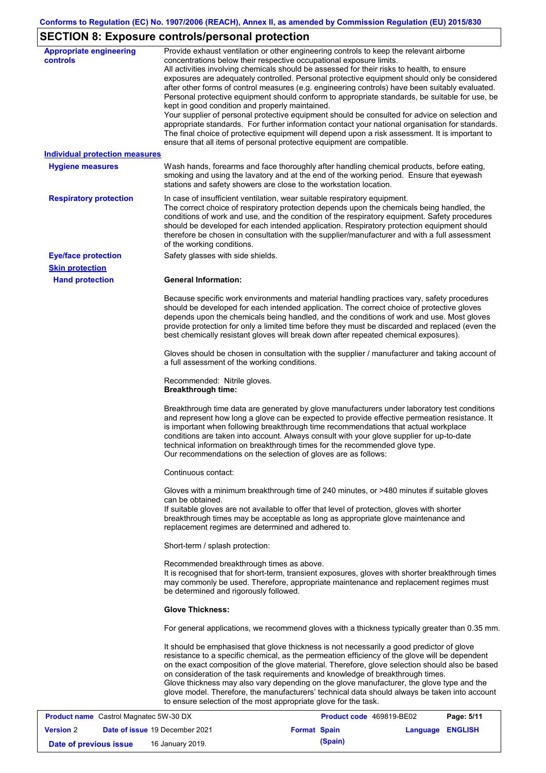# **SECTION 8: Exposure controls/personal protection**

| <b>Appropriate engineering</b>        | Provide exhaust ventilation or other engineering controls to keep the relevant airborne           |
|---------------------------------------|---------------------------------------------------------------------------------------------------|
| controls                              | concentrations below their respective occupational exposure limits.                               |
|                                       | All activities involving chemicals should be assessed for their risks to health, to ensure        |
|                                       | exposures are adequately controlled. Personal protective equipment should only be considered      |
|                                       | after other forms of control measures (e.g. engineering controls) have been suitably evaluated.   |
|                                       | Personal protective equipment should conform to appropriate standards, be suitable for use, be    |
|                                       | kept in good condition and properly maintained.                                                   |
|                                       | Your supplier of personal protective equipment should be consulted for advice on selection and    |
|                                       | appropriate standards. For further information contact your national organisation for standards.  |
|                                       | The final choice of protective equipment will depend upon a risk assessment. It is important to   |
|                                       | ensure that all items of personal protective equipment are compatible.                            |
| <b>Individual protection measures</b> |                                                                                                   |
| <b>Hygiene measures</b>               | Wash hands, forearms and face thoroughly after handling chemical products, before eating,         |
|                                       | smoking and using the lavatory and at the end of the working period. Ensure that eyewash          |
|                                       | stations and safety showers are close to the workstation location.                                |
| <b>Respiratory protection</b>         | In case of insufficient ventilation, wear suitable respiratory equipment.                         |
|                                       | The correct choice of respiratory protection depends upon the chemicals being handled, the        |
|                                       | conditions of work and use, and the condition of the respiratory equipment. Safety procedures     |
|                                       | should be developed for each intended application. Respiratory protection equipment should        |
|                                       | therefore be chosen in consultation with the supplier/manufacturer and with a full assessment     |
|                                       | of the working conditions.                                                                        |
| <b>Eye/face protection</b>            | Safety glasses with side shields.                                                                 |
| <b>Skin protection</b>                |                                                                                                   |
| <b>Hand protection</b>                | <b>General Information:</b>                                                                       |
|                                       |                                                                                                   |
|                                       | Because specific work environments and material handling practices vary, safety procedures        |
|                                       | should be developed for each intended application. The correct choice of protective gloves        |
|                                       | depends upon the chemicals being handled, and the conditions of work and use. Most gloves         |
|                                       | provide protection for only a limited time before they must be discarded and replaced (even the   |
|                                       | best chemically resistant gloves will break down after repeated chemical exposures).              |
|                                       |                                                                                                   |
|                                       | Gloves should be chosen in consultation with the supplier / manufacturer and taking account of    |
|                                       | a full assessment of the working conditions.                                                      |
|                                       |                                                                                                   |
|                                       | Recommended: Nitrile gloves.<br><b>Breakthrough time:</b>                                         |
|                                       |                                                                                                   |
|                                       | Breakthrough time data are generated by glove manufacturers under laboratory test conditions      |
|                                       | and represent how long a glove can be expected to provide effective permeation resistance. It     |
|                                       | is important when following breakthrough time recommendations that actual workplace               |
|                                       | conditions are taken into account. Always consult with your glove supplier for up-to-date         |
|                                       | technical information on breakthrough times for the recommended glove type.                       |
|                                       | Our recommendations on the selection of gloves are as follows:                                    |
|                                       |                                                                                                   |
|                                       | Continuous contact:                                                                               |
|                                       | Gloves with a minimum breakthrough time of 240 minutes, or >480 minutes if suitable gloves        |
|                                       | can be obtained.                                                                                  |
|                                       | If suitable gloves are not available to offer that level of protection, gloves with shorter       |
|                                       | breakthrough times may be acceptable as long as appropriate glove maintenance and                 |
|                                       | replacement regimes are determined and adhered to.                                                |
|                                       |                                                                                                   |
|                                       | Short-term / splash protection:                                                                   |
|                                       | Recommended breakthrough times as above.                                                          |
|                                       | It is recognised that for short-term, transient exposures, gloves with shorter breakthrough times |
|                                       | may commonly be used. Therefore, appropriate maintenance and replacement regimes must             |
|                                       | be determined and rigorously followed.                                                            |
|                                       |                                                                                                   |
|                                       | <b>Glove Thickness:</b>                                                                           |
|                                       | For general applications, we recommend gloves with a thickness typically greater than 0.35 mm.    |
|                                       | It should be emphasised that glove thickness is not necessarily a good predictor of glove         |
|                                       | resistance to a specific chemical, as the permeation efficiency of the glove will be dependent    |
|                                       | on the exact composition of the glove material. Therefore, glove selection should also be based   |
|                                       | on consideration of the task requirements and knowledge of breakthrough times.                    |
|                                       | Glove thickness may also vary depending on the glove manufacturer, the glove type and the         |
|                                       | glove model. Therefore, the manufacturers' technical data should always be taken into account     |
|                                       | to ensure selection of the most appropriate glove for the task.                                   |
|                                       |                                                                                                   |

| <b>Product name</b> Castrol Magnatec 5W-30 DX |  | <b>Product code</b> 469819-BE02       | Page: 5/11          |         |                  |  |
|-----------------------------------------------|--|---------------------------------------|---------------------|---------|------------------|--|
| <b>Version</b> 2                              |  | <b>Date of issue 19 December 2021</b> | <b>Format Spain</b> |         | Language ENGLISH |  |
| Date of previous issue                        |  | 16 January 2019.                      |                     | (Spain) |                  |  |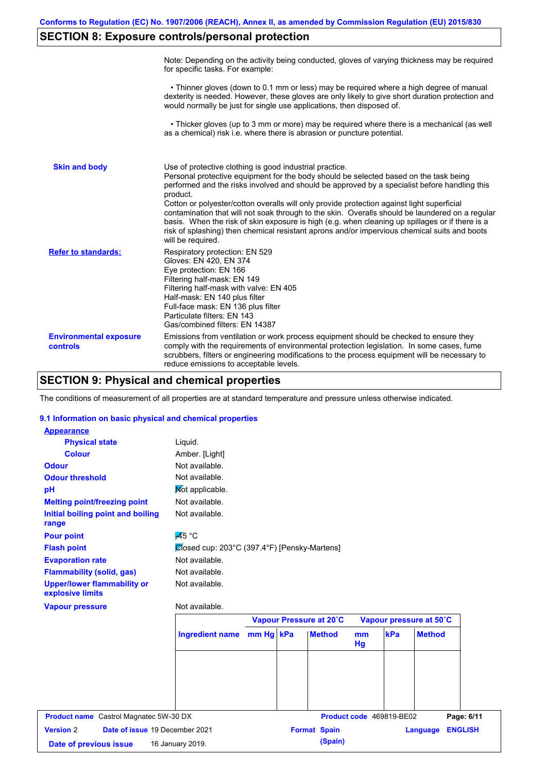# **SECTION 8: Exposure controls/personal protection**

|                                           | Note: Depending on the activity being conducted, gloves of varying thickness may be required<br>for specific tasks. For example:                                                                                                                                                                                                                                                                                                                                                                                                                                                                                                                                                      |
|-------------------------------------------|---------------------------------------------------------------------------------------------------------------------------------------------------------------------------------------------------------------------------------------------------------------------------------------------------------------------------------------------------------------------------------------------------------------------------------------------------------------------------------------------------------------------------------------------------------------------------------------------------------------------------------------------------------------------------------------|
|                                           | • Thinner gloves (down to 0.1 mm or less) may be required where a high degree of manual<br>dexterity is needed. However, these gloves are only likely to give short duration protection and<br>would normally be just for single use applications, then disposed of.                                                                                                                                                                                                                                                                                                                                                                                                                  |
|                                           | • Thicker gloves (up to 3 mm or more) may be required where there is a mechanical (as well<br>as a chemical) risk i.e. where there is abrasion or puncture potential.                                                                                                                                                                                                                                                                                                                                                                                                                                                                                                                 |
| <b>Skin and body</b>                      | Use of protective clothing is good industrial practice.<br>Personal protective equipment for the body should be selected based on the task being<br>performed and the risks involved and should be approved by a specialist before handling this<br>product.<br>Cotton or polyester/cotton overalls will only provide protection against light superficial<br>contamination that will not soak through to the skin. Overalls should be laundered on a regular<br>basis. When the risk of skin exposure is high (e.g. when cleaning up spillages or if there is a<br>risk of splashing) then chemical resistant aprons and/or impervious chemical suits and boots<br>will be required. |
| <b>Refer to standards:</b>                | Respiratory protection: EN 529<br>Gloves: EN 420, EN 374<br>Eye protection: EN 166<br>Filtering half-mask: EN 149<br>Filtering half-mask with valve: EN 405<br>Half-mask: EN 140 plus filter<br>Full-face mask: EN 136 plus filter<br>Particulate filters: EN 143<br>Gas/combined filters: EN 14387                                                                                                                                                                                                                                                                                                                                                                                   |
| <b>Environmental exposure</b><br>controls | Emissions from ventilation or work process equipment should be checked to ensure they<br>comply with the requirements of environmental protection legislation. In some cases, fume<br>scrubbers, filters or engineering modifications to the process equipment will be necessary to<br>reduce emissions to acceptable levels.                                                                                                                                                                                                                                                                                                                                                         |

# **SECTION 9: Physical and chemical properties**

The conditions of measurement of all properties are at standard temperature and pressure unless otherwise indicated.

### **9.1 Information on basic physical and chemical properties**

| <b>Appearance</b>                                      |                                              |  |                         |          |                          |                            |
|--------------------------------------------------------|----------------------------------------------|--|-------------------------|----------|--------------------------|----------------------------|
| <b>Physical state</b>                                  | Liquid.                                      |  |                         |          |                          |                            |
| <b>Colour</b>                                          | Amber. [Light]                               |  |                         |          |                          |                            |
| <b>Odour</b>                                           | Not available.                               |  |                         |          |                          |                            |
| <b>Odour threshold</b>                                 | Not available.                               |  |                         |          |                          |                            |
| pH                                                     | Not applicable.                              |  |                         |          |                          |                            |
| <b>Melting point/freezing point</b>                    | Not available.                               |  |                         |          |                          |                            |
| Initial boiling point and boiling<br>range             | Not available.                               |  |                         |          |                          |                            |
| <b>Pour point</b>                                      | $\overline{A}5^{\circ}C$                     |  |                         |          |                          |                            |
| <b>Flash point</b>                                     | Closed cup: 203°C (397.4°F) [Pensky-Martens] |  |                         |          |                          |                            |
| <b>Evaporation rate</b>                                | Not available.                               |  |                         |          |                          |                            |
| <b>Flammability (solid, gas)</b>                       | Not available.                               |  |                         |          |                          |                            |
| <b>Upper/lower flammability or</b><br>explosive limits | Not available.                               |  |                         |          |                          |                            |
| <b>Vapour pressure</b>                                 | Not available.                               |  |                         |          |                          |                            |
|                                                        |                                              |  | Vapour Pressure at 20°C |          |                          | Vapour pressure at 50°C    |
|                                                        | Ingredient name mm Hg   kPa                  |  | <b>Method</b>           | mm<br>Hg | kPa                      | <b>Method</b>              |
|                                                        |                                              |  |                         |          |                          |                            |
|                                                        |                                              |  |                         |          |                          |                            |
|                                                        |                                              |  |                         |          |                          |                            |
|                                                        |                                              |  |                         |          |                          |                            |
|                                                        |                                              |  |                         |          |                          |                            |
| <b>Product name</b> Castrol Magnatec 5W-30 DX          |                                              |  |                         |          | Product code 469819-BE02 | Page: 6/11                 |
| <b>Version 2</b><br>Date of issue 19 December 2021     |                                              |  | <b>Format Spain</b>     |          |                          | <b>ENGLISH</b><br>Language |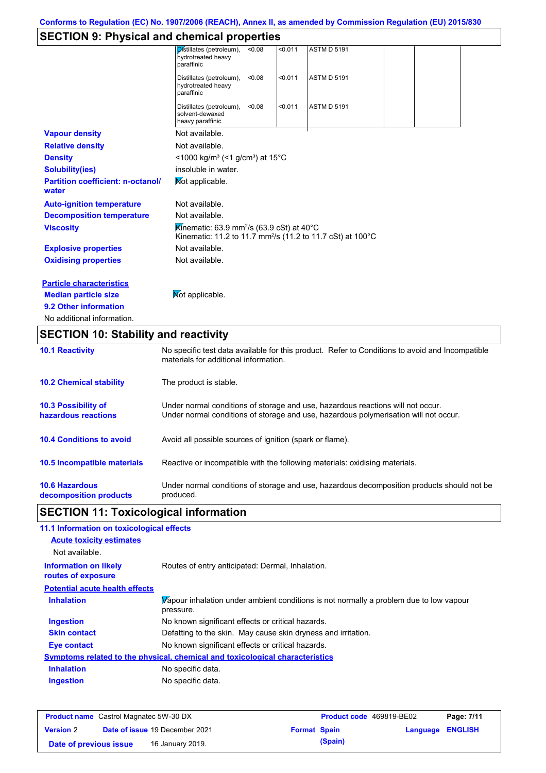# **SECTION 9: Physical and chemical properties**

|                                                   | Distillates (petroleum),<br>< 0.08<br>< 0.011<br>hydrotreated heavy<br>paraffinic                                                         | <b>ASTM D 5191</b> |  |
|---------------------------------------------------|-------------------------------------------------------------------------------------------------------------------------------------------|--------------------|--|
|                                                   | Distillates (petroleum),<br>< 0.011<br>< 0.08<br>hydrotreated heavy<br>paraffinic                                                         | <b>ASTM D 5191</b> |  |
|                                                   | < 0.011<br>Distillates (petroleum),<br>< 0.08<br>solvent-dewaxed<br>heavy paraffinic                                                      | <b>ASTM D 5191</b> |  |
| <b>Vapour density</b>                             | Not available.                                                                                                                            |                    |  |
| <b>Relative density</b>                           | Not available.                                                                                                                            |                    |  |
| <b>Density</b>                                    | <1000 kg/m <sup>3</sup> (<1 g/cm <sup>3</sup> ) at 15°C                                                                                   |                    |  |
| <b>Solubility(ies)</b>                            | insoluble in water.                                                                                                                       |                    |  |
| <b>Partition coefficient: n-octanol/</b><br>water | Mot applicable.                                                                                                                           |                    |  |
| <b>Auto-ignition temperature</b>                  | Not available.                                                                                                                            |                    |  |
| <b>Decomposition temperature</b>                  | Not available.                                                                                                                            |                    |  |
| <b>Viscosity</b>                                  | Kinematic: 63.9 mm <sup>2</sup> /s (63.9 cSt) at 40 $\degree$ C<br>Kinematic: 11.2 to 11.7 mm <sup>2</sup> /s (11.2 to 11.7 cSt) at 100°C |                    |  |
| <b>Explosive properties</b>                       | Not available.                                                                                                                            |                    |  |
| <b>Oxidising properties</b>                       | Not available.                                                                                                                            |                    |  |
| <b>Particle characteristics</b>                   |                                                                                                                                           |                    |  |
| <b>Median particle size</b>                       | Mot applicable.                                                                                                                           |                    |  |
| 9.2 Other information                             |                                                                                                                                           |                    |  |
| No additional information.                        |                                                                                                                                           |                    |  |

# **SECTION 10: Stability and reactivity**

| <b>10.1 Reactivity</b>                            | No specific test data available for this product. Refer to Conditions to avoid and Incompatible<br>materials for additional information.                                |
|---------------------------------------------------|-------------------------------------------------------------------------------------------------------------------------------------------------------------------------|
| <b>10.2 Chemical stability</b>                    | The product is stable.                                                                                                                                                  |
| <b>10.3 Possibility of</b><br>hazardous reactions | Under normal conditions of storage and use, hazardous reactions will not occur.<br>Under normal conditions of storage and use, hazardous polymerisation will not occur. |
| <b>10.4 Conditions to avoid</b>                   | Avoid all possible sources of ignition (spark or flame).                                                                                                                |
| <b>10.5 Incompatible materials</b>                | Reactive or incompatible with the following materials: oxidising materials.                                                                                             |
| <b>10.6 Hazardous</b><br>decomposition products   | Under normal conditions of storage and use, hazardous decomposition products should not be<br>produced.                                                                 |

# **SECTION 11: Toxicological information**

| 11.1 Information on toxicological effects          |                                                                                                     |
|----------------------------------------------------|-----------------------------------------------------------------------------------------------------|
| <b>Acute toxicity estimates</b>                    |                                                                                                     |
| Not available.                                     |                                                                                                     |
| <b>Information on likely</b><br>routes of exposure | Routes of entry anticipated: Dermal, Inhalation.                                                    |
| <b>Potential acute health effects</b>              |                                                                                                     |
| <b>Inhalation</b>                                  | Vapour inhalation under ambient conditions is not normally a problem due to low vapour<br>pressure. |
| <b>Ingestion</b>                                   | No known significant effects or critical hazards.                                                   |
| <b>Skin contact</b>                                | Defatting to the skin. May cause skin dryness and irritation.                                       |
| Eye contact                                        | No known significant effects or critical hazards.                                                   |
|                                                    | Symptoms related to the physical, chemical and toxicological characteristics                        |
| <b>Inhalation</b>                                  | No specific data.                                                                                   |
| <b>Ingestion</b>                                   | No specific data.                                                                                   |

| <b>Product name</b> Castrol Magnatec 5W-30 DX |  |                                       | <b>Product code</b> 469819-BE02 |         | Page: 7/11              |  |
|-----------------------------------------------|--|---------------------------------------|---------------------------------|---------|-------------------------|--|
| <b>Version 2</b>                              |  | <b>Date of issue 19 December 2021</b> | <b>Format Spain</b>             |         | <b>Language ENGLISH</b> |  |
| Date of previous issue                        |  | 16 January 2019.                      |                                 | (Spain) |                         |  |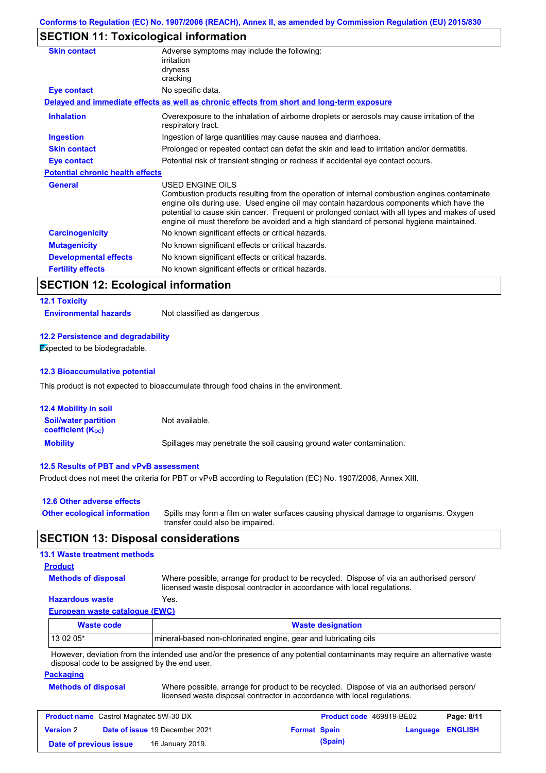## **SECTION 11: Toxicological information**

| <b>Skin contact</b>                     | Adverse symptoms may include the following:<br>irritation<br>dryness<br>cracking                                                                                                                                                                                                                                                                                                                         |
|-----------------------------------------|----------------------------------------------------------------------------------------------------------------------------------------------------------------------------------------------------------------------------------------------------------------------------------------------------------------------------------------------------------------------------------------------------------|
| <b>Eye contact</b>                      | No specific data.                                                                                                                                                                                                                                                                                                                                                                                        |
|                                         | Delayed and immediate effects as well as chronic effects from short and long-term exposure                                                                                                                                                                                                                                                                                                               |
| <b>Inhalation</b>                       | Overexposure to the inhalation of airborne droplets or aerosols may cause irritation of the<br>respiratory tract.                                                                                                                                                                                                                                                                                        |
| Ingestion                               | Ingestion of large quantities may cause nausea and diarrhoea.                                                                                                                                                                                                                                                                                                                                            |
| <b>Skin contact</b>                     | Prolonged or repeated contact can defat the skin and lead to irritation and/or dermatitis.                                                                                                                                                                                                                                                                                                               |
| Eye contact                             | Potential risk of transient stinging or redness if accidental eye contact occurs.                                                                                                                                                                                                                                                                                                                        |
| <b>Potential chronic health effects</b> |                                                                                                                                                                                                                                                                                                                                                                                                          |
| <b>General</b>                          | USED ENGINE OILS<br>Combustion products resulting from the operation of internal combustion engines contaminate<br>engine oils during use. Used engine oil may contain hazardous components which have the<br>potential to cause skin cancer. Frequent or prolonged contact with all types and makes of used<br>engine oil must therefore be avoided and a high standard of personal hygiene maintained. |
| <b>Carcinogenicity</b>                  | No known significant effects or critical hazards.                                                                                                                                                                                                                                                                                                                                                        |
| <b>Mutagenicity</b>                     | No known significant effects or critical hazards.                                                                                                                                                                                                                                                                                                                                                        |
| <b>Developmental effects</b>            | No known significant effects or critical hazards.                                                                                                                                                                                                                                                                                                                                                        |
| <b>Fertility effects</b>                | No known significant effects or critical hazards.                                                                                                                                                                                                                                                                                                                                                        |

## **SECTION 12: Ecological information**

# **12.1 Toxicity**

**Environmental hazards** Not classified as dangerous

### **12.2 Persistence and degradability**

**Expected to be biodegradable.** 

#### **12.3 Bioaccumulative potential**

This product is not expected to bioaccumulate through food chains in the environment.

| <b>12.4 Mobility in soil</b>                            |                                                                      |
|---------------------------------------------------------|----------------------------------------------------------------------|
| <b>Soil/water partition</b><br><b>coefficient (Koc)</b> | Not available.                                                       |
| <b>Mobility</b>                                         | Spillages may penetrate the soil causing ground water contamination. |

### **12.5 Results of PBT and vPvB assessment**

Product does not meet the criteria for PBT or vPvB according to Regulation (EC) No. 1907/2006, Annex XIII.

| 12.6 Other adverse effects          |                                                                                                                           |
|-------------------------------------|---------------------------------------------------------------------------------------------------------------------------|
| <b>Other ecological information</b> | Spills may form a film on water surfaces causing physical damage to organisms. Oxygen<br>transfer could also be impaired. |

## **SECTION 13: Disposal considerations**

### **13.1 Waste treatment methods**

| <b>Product</b>             |            |
|----------------------------|------------|
| <b>Methods of disposal</b> | Whe        |
|                            | $1! - - -$ |

ere possible, arrange for product to be recycled. Dispose of via an authorised person/ licensed waste disposal contractor in accordance with local regulations.

#### **European waste catalogue (EWC) Hazardous waste** Yes.

| $\lrcorner$ uropean waste catalogue ( $\lrcorner$ vvo) |                                                                 |
|--------------------------------------------------------|-----------------------------------------------------------------|
| <b>Waste code</b>                                      | <b>Waste designation</b>                                        |
| 13 02 05*                                              | mineral-based non-chlorinated engine, gear and lubricating oils |

However, deviation from the intended use and/or the presence of any potential contaminants may require an alternative waste disposal code to be assigned by the end user.

#### **Packaging**

**Methods of disposal** Where possible, arrange for product to be recycled. Dispose of via an authorised person/

| <b>THE POSSIBIC, and you product to be recycled.</b> Dispose or the an additionate personn |
|--------------------------------------------------------------------------------------------|
| licensed waste disposal contractor in accordance with local regulations.                   |
|                                                                                            |
|                                                                                            |

| <b>Product name</b> Castrol Magnatec 5W-30 DX |  |                                       | <b>Product code</b> 469819-BE02 |         | Page: 8/11              |  |
|-----------------------------------------------|--|---------------------------------------|---------------------------------|---------|-------------------------|--|
| <b>Version</b> 2                              |  | <b>Date of issue 19 December 2021</b> | <b>Format Spain</b>             |         | <b>Language ENGLISH</b> |  |
| Date of previous issue                        |  | 16 January 2019.                      |                                 | (Spain) |                         |  |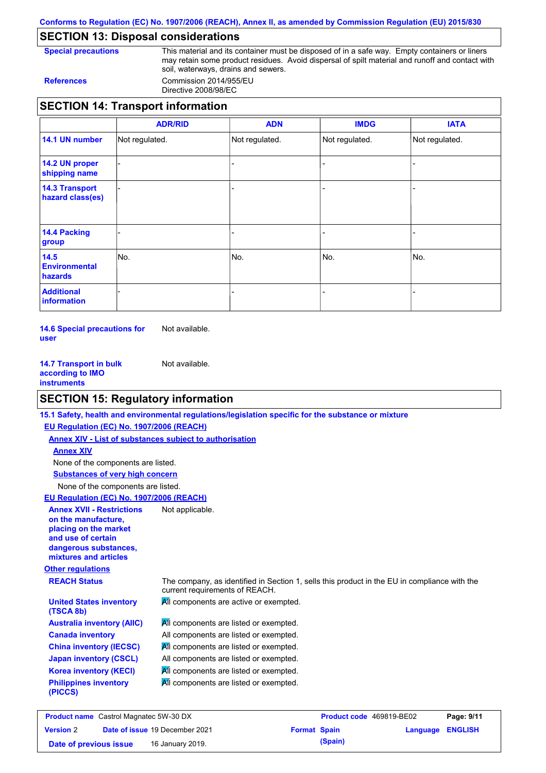**Conforms to Regulation (EC) No. 1907/2006 (REACH), Annex II, as amended by Commission Regulation (EU) 2015/830**

## **SECTION 13: Disposal considerations**

**Special precautions** This material and its container must be disposed of in a safe way. Empty containers or liners may retain some product residues. Avoid dispersal of spilt material and runoff and contact with soil, waterways, drains and sewers. **References** Commission 2014/955/EU

Directive 2008/98/EC

## **SECTION 14: Transport information**

|                                                | <b>ADR/RID</b> | <b>ADN</b>     | <b>IMDG</b>    | <b>IATA</b>    |
|------------------------------------------------|----------------|----------------|----------------|----------------|
| 14.1 UN number                                 | Not regulated. | Not regulated. | Not regulated. | Not regulated. |
| 14.2 UN proper<br>shipping name                |                |                |                |                |
| <b>14.3 Transport</b><br>hazard class(es)      |                |                |                |                |
| <b>14.4 Packing</b><br>group                   |                |                |                |                |
| 14.5<br><b>Environmental</b><br><b>hazards</b> | No.            | No.            | No.            | No.            |
| <b>Additional</b><br>information               |                |                |                |                |

**14.6 Special precautions for user** Not available.

**14.7 Transport in bulk according to IMO instruments** Not available.

### **SECTION 15: Regulatory information**

**Other regulations REACH Status** The company, as identified in Section 1, sells this product in the EU in compliance with the current requirements of REACH. **15.1 Safety, health and environmental regulations/legislation specific for the substance or mixture EU Regulation (EC) No. 1907/2006 (REACH) Annex XIV - List of substances subject to authorisation Substances of very high concern** None of the components are listed. All components are listed or exempted. All components are listed or exempted. **All components are listed or exempted.** All components are listed or exempted. **All components are active or exempted.** All components are listed or exempted. All components are listed or exempted. **United States inventory (TSCA 8b) Australia inventory (AIIC) Canada inventory China inventory (IECSC) Japan inventory (CSCL) Korea inventory (KECI) Philippines inventory (PICCS)** None of the components are listed. **Annex XIV EU Regulation (EC) No. 1907/2006 (REACH) Annex XVII - Restrictions on the manufacture, placing on the market and use of certain dangerous substances, mixtures and articles** Not applicable.

| <b>Product name</b> Castrol Magnatec 5W-30 DX |  |                                       | <b>Product code</b> 469819-BE02 |         | Page: 9/11              |  |
|-----------------------------------------------|--|---------------------------------------|---------------------------------|---------|-------------------------|--|
| <b>Version 2</b>                              |  | <b>Date of issue 19 December 2021</b> | <b>Format Spain</b>             |         | <b>Language ENGLISH</b> |  |
| Date of previous issue                        |  | 16 January 2019.                      |                                 | (Spain) |                         |  |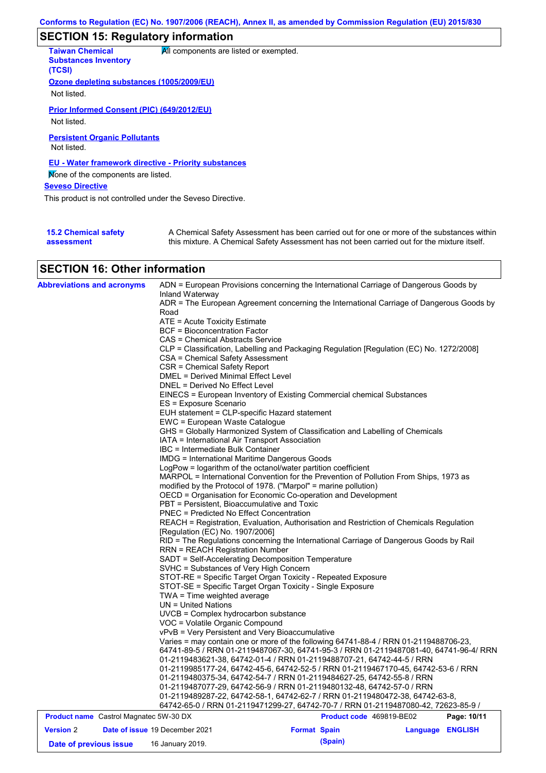# **SECTION 15: Regulatory information**

| <b>Taiwan Chemical</b><br><b>Substances Inventory</b><br>(TCSI)  | All components are listed or exempted.                                                                                                                                                    |
|------------------------------------------------------------------|-------------------------------------------------------------------------------------------------------------------------------------------------------------------------------------------|
| Ozone depleting substances (1005/2009/EU)                        |                                                                                                                                                                                           |
| Not listed.                                                      |                                                                                                                                                                                           |
| <b>Prior Informed Consent (PIC) (649/2012/EU)</b><br>Not listed. |                                                                                                                                                                                           |
| <b>Persistent Organic Pollutants</b><br>Not listed.              |                                                                                                                                                                                           |
| EU - Water framework directive - Priority substances             |                                                                                                                                                                                           |
| None of the components are listed.                               |                                                                                                                                                                                           |
| <b>Seveso Directive</b>                                          |                                                                                                                                                                                           |
| This product is not controlled under the Seveso Directive.       |                                                                                                                                                                                           |
|                                                                  |                                                                                                                                                                                           |
| <b>15.2 Chemical safety</b><br>assessment                        | A Chemical Safety Assessment has been carried out for one or more of the substances within<br>this mixture. A Chemical Safety Assessment has not been carried out for the mixture itself. |

# **SECTION 16: Other information**

| <b>Abbreviations and acronyms</b>             | Inland Waterway                                                                                                                                            | ADN = European Provisions concerning the International Carriage of Dangerous Goods by<br>ADR = The European Agreement concerning the International Carriage of Dangerous Goods by |                  |             |  |  |  |
|-----------------------------------------------|------------------------------------------------------------------------------------------------------------------------------------------------------------|-----------------------------------------------------------------------------------------------------------------------------------------------------------------------------------|------------------|-------------|--|--|--|
|                                               | Road                                                                                                                                                       |                                                                                                                                                                                   |                  |             |  |  |  |
|                                               | $ATE =$ Acute Toxicity Estimate                                                                                                                            |                                                                                                                                                                                   |                  |             |  |  |  |
|                                               | <b>BCF</b> = Bioconcentration Factor                                                                                                                       |                                                                                                                                                                                   |                  |             |  |  |  |
|                                               | CAS = Chemical Abstracts Service                                                                                                                           |                                                                                                                                                                                   |                  |             |  |  |  |
|                                               |                                                                                                                                                            | CLP = Classification, Labelling and Packaging Regulation [Regulation (EC) No. 1272/2008]                                                                                          |                  |             |  |  |  |
|                                               | CSA = Chemical Safety Assessment                                                                                                                           |                                                                                                                                                                                   |                  |             |  |  |  |
|                                               | CSR = Chemical Safety Report<br><b>DMEL = Derived Minimal Effect Level</b>                                                                                 |                                                                                                                                                                                   |                  |             |  |  |  |
|                                               | DNEL = Derived No Effect Level                                                                                                                             |                                                                                                                                                                                   |                  |             |  |  |  |
|                                               |                                                                                                                                                            | EINECS = European Inventory of Existing Commercial chemical Substances                                                                                                            |                  |             |  |  |  |
|                                               | ES = Exposure Scenario                                                                                                                                     |                                                                                                                                                                                   |                  |             |  |  |  |
|                                               | EUH statement = CLP-specific Hazard statement                                                                                                              |                                                                                                                                                                                   |                  |             |  |  |  |
|                                               | EWC = European Waste Catalogue                                                                                                                             |                                                                                                                                                                                   |                  |             |  |  |  |
|                                               |                                                                                                                                                            | GHS = Globally Harmonized System of Classification and Labelling of Chemicals                                                                                                     |                  |             |  |  |  |
|                                               | IATA = International Air Transport Association                                                                                                             |                                                                                                                                                                                   |                  |             |  |  |  |
|                                               | IBC = Intermediate Bulk Container                                                                                                                          |                                                                                                                                                                                   |                  |             |  |  |  |
|                                               | IMDG = International Maritime Dangerous Goods                                                                                                              |                                                                                                                                                                                   |                  |             |  |  |  |
|                                               |                                                                                                                                                            | LogPow = logarithm of the octanol/water partition coefficient                                                                                                                     |                  |             |  |  |  |
|                                               |                                                                                                                                                            | MARPOL = International Convention for the Prevention of Pollution From Ships, 1973 as                                                                                             |                  |             |  |  |  |
|                                               |                                                                                                                                                            |                                                                                                                                                                                   |                  |             |  |  |  |
|                                               | modified by the Protocol of 1978. ("Marpol" = marine pollution)<br>OECD = Organisation for Economic Co-operation and Development                           |                                                                                                                                                                                   |                  |             |  |  |  |
|                                               | PBT = Persistent, Bioaccumulative and Toxic                                                                                                                |                                                                                                                                                                                   |                  |             |  |  |  |
|                                               | PNEC = Predicted No Effect Concentration                                                                                                                   |                                                                                                                                                                                   |                  |             |  |  |  |
|                                               | REACH = Registration, Evaluation, Authorisation and Restriction of Chemicals Regulation                                                                    |                                                                                                                                                                                   |                  |             |  |  |  |
|                                               | [Regulation (EC) No. 1907/2006]                                                                                                                            |                                                                                                                                                                                   |                  |             |  |  |  |
|                                               | RID = The Regulations concerning the International Carriage of Dangerous Goods by Rail                                                                     |                                                                                                                                                                                   |                  |             |  |  |  |
|                                               | <b>RRN = REACH Registration Number</b>                                                                                                                     |                                                                                                                                                                                   |                  |             |  |  |  |
|                                               |                                                                                                                                                            | SADT = Self-Accelerating Decomposition Temperature                                                                                                                                |                  |             |  |  |  |
|                                               | SVHC = Substances of Very High Concern                                                                                                                     |                                                                                                                                                                                   |                  |             |  |  |  |
|                                               |                                                                                                                                                            | STOT-RE = Specific Target Organ Toxicity - Repeated Exposure                                                                                                                      |                  |             |  |  |  |
|                                               |                                                                                                                                                            | STOT-SE = Specific Target Organ Toxicity - Single Exposure                                                                                                                        |                  |             |  |  |  |
|                                               | $TWA = Time$ weighted average                                                                                                                              |                                                                                                                                                                                   |                  |             |  |  |  |
|                                               | $UN = United Nations$                                                                                                                                      |                                                                                                                                                                                   |                  |             |  |  |  |
|                                               | UVCB = Complex hydrocarbon substance                                                                                                                       |                                                                                                                                                                                   |                  |             |  |  |  |
|                                               | VOC = Volatile Organic Compound                                                                                                                            |                                                                                                                                                                                   |                  |             |  |  |  |
|                                               | vPvB = Very Persistent and Very Bioaccumulative                                                                                                            |                                                                                                                                                                                   |                  |             |  |  |  |
|                                               |                                                                                                                                                            | Varies = may contain one or more of the following 64741-88-4 / RRN 01-2119488706-23,<br>64741-89-5 / RRN 01-2119487067-30, 64741-95-3 / RRN 01-2119487081-40, 64741-96-4/ RRN     |                  |             |  |  |  |
|                                               |                                                                                                                                                            | 01-2119483621-38, 64742-01-4 / RRN 01-2119488707-21, 64742-44-5 / RRN                                                                                                             |                  |             |  |  |  |
|                                               |                                                                                                                                                            |                                                                                                                                                                                   |                  |             |  |  |  |
|                                               | 01-2119985177-24, 64742-45-6, 64742-52-5 / RRN 01-2119467170-45, 64742-53-6 / RRN<br>01-2119480375-34, 64742-54-7 / RRN 01-2119484627-25, 64742-55-8 / RRN |                                                                                                                                                                                   |                  |             |  |  |  |
|                                               |                                                                                                                                                            | 01-2119487077-29, 64742-56-9 / RRN 01-2119480132-48, 64742-57-0 / RRN                                                                                                             |                  |             |  |  |  |
|                                               |                                                                                                                                                            | 01-2119489287-22, 64742-58-1, 64742-62-7 / RRN 01-2119480472-38, 64742-63-8,                                                                                                      |                  |             |  |  |  |
|                                               |                                                                                                                                                            | 64742-65-0 / RRN 01-2119471299-27, 64742-70-7 / RRN 01-2119487080-42, 72623-85-9 /                                                                                                |                  |             |  |  |  |
| <b>Product name</b> Castrol Magnatec 5W-30 DX |                                                                                                                                                            | Product code 469819-BE02                                                                                                                                                          |                  | Page: 10/11 |  |  |  |
| <b>Version 2</b>                              | Date of issue 19 December 2021                                                                                                                             | <b>Format Spain</b>                                                                                                                                                               | Language ENGLISH |             |  |  |  |
| Date of previous issue                        | 16 January 2019.                                                                                                                                           | (Spain)                                                                                                                                                                           |                  |             |  |  |  |